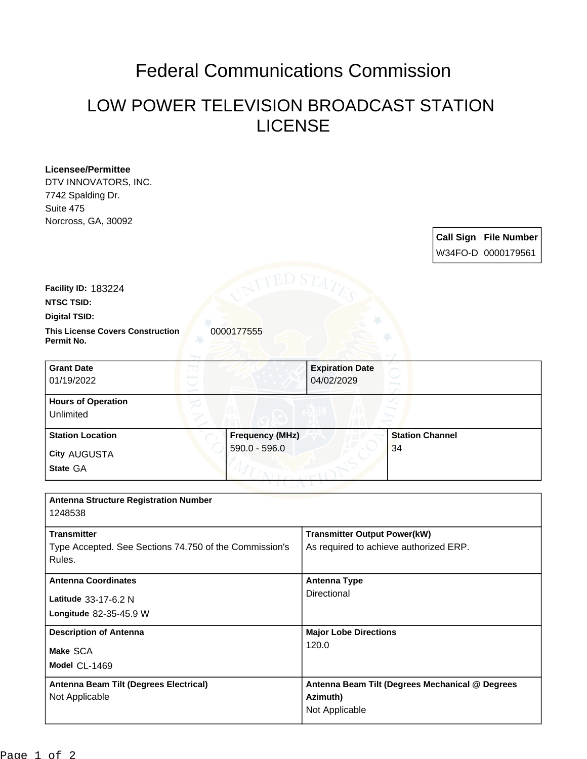## Federal Communications Commission

## LOW POWER TELEVISION BROADCAST STATION LICENSE

| <b>Licensee/Permittee</b><br>DTV INNOVATORS, INC.<br>7742 Spalding Dr.<br>Suite 475                                                      |                                                                               |
|------------------------------------------------------------------------------------------------------------------------------------------|-------------------------------------------------------------------------------|
| Norcross, GA, 30092                                                                                                                      | <b>Call Sign File Number</b><br>W34FO-D 0000179561                            |
| ED S<br><b>Facility ID: 183224</b><br><b>NTSC TSID:</b><br><b>Digital TSID:</b><br><b>This License Covers Construction</b><br>0000177555 |                                                                               |
| Permit No.<br><b>Grant Date</b>                                                                                                          | <b>Expiration Date</b>                                                        |
| 01/19/2022                                                                                                                               | 04/02/2029                                                                    |
| <b>Hours of Operation</b><br>Unlimited                                                                                                   |                                                                               |
| <b>Station Location</b><br><b>Frequency (MHz)</b><br>590.0 - 596.0<br><b>City AUGUSTA</b><br>State GA                                    | <b>Station Channel</b><br>34                                                  |
| <b>Antenna Structure Registration Number</b><br>1248538                                                                                  |                                                                               |
| <b>Transmitter</b><br>Type Accepted. See Sections 74.750 of the Commission's<br>Rules.                                                   | <b>Transmitter Output Power(kW)</b><br>As required to achieve authorized ERP. |
| <b>Antenna Coordinates</b><br>Latitude 33-17-6.2 N<br>Longitude 82-35-45.9 W                                                             | <b>Antenna Type</b><br>Directional                                            |
| <b>Description of Antenna</b><br>Make SCA<br>Model CL-1469                                                                               | <b>Major Lobe Directions</b><br>120.0                                         |
| Antenna Beam Tilt (Degrees Electrical)<br>Not Applicable                                                                                 | Antenna Beam Tilt (Degrees Mechanical @ Degrees<br>Azimuth)<br>Not Applicable |